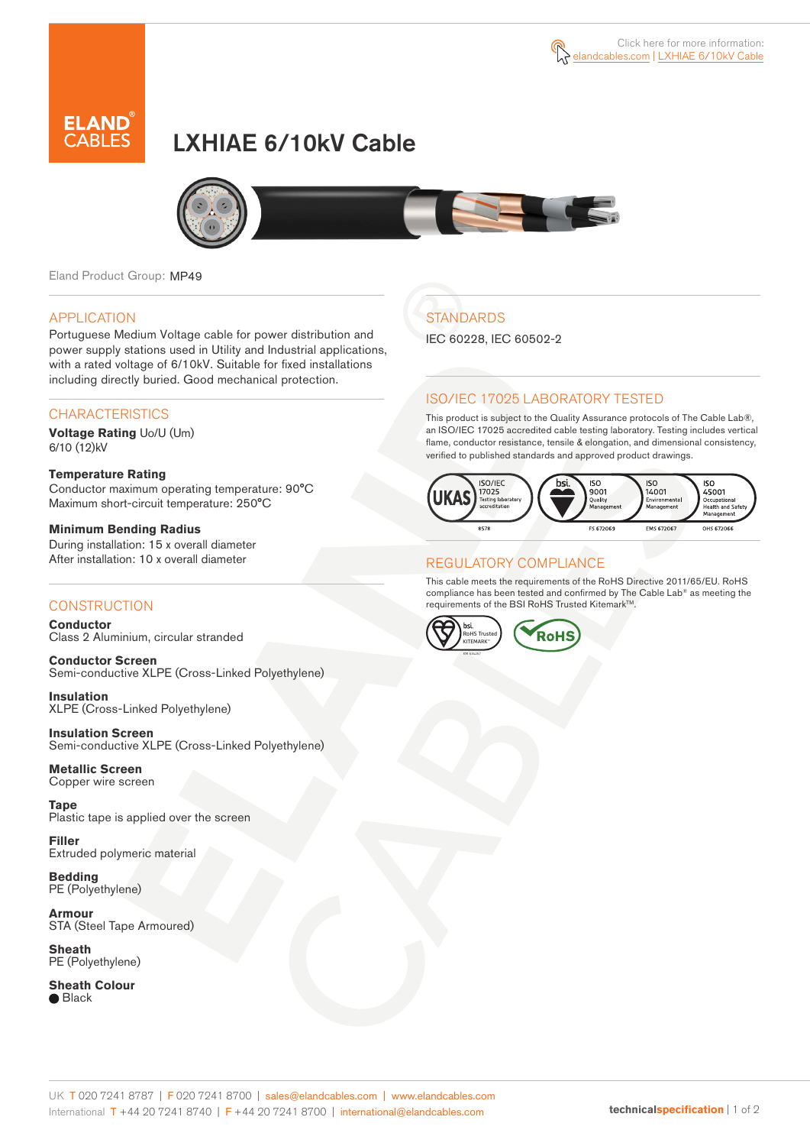



# LXHIAE 6/10kV Cable



Eland Product Group: MP49

### APPLICATION

Portuguese Medium Voltage cable for power distribution and power supply stations used in Utility and Industrial applications, with a rated voltage of 6/10kV. Suitable for fixed installations including directly buried. Good mechanical protection.

### **CHARACTERISTICS**

**Voltage Rating** Uo/U (Um) 6/10 (12)kV

#### **Temperature Rating**  Conductor maximum operating temperature: 90°C Maximum short-circuit temperature: 250°C

**Minimum Bending Radius**  During installation: 15 x overall diameter After installation: 10 x overall diameter

### **CONSTRUCTION**

**Conductor**  Class 2 Aluminium, circular stranded

**Conductor Screen** Semi-conductive XLPE (Cross-Linked Polyethylene)

**Insulation** XLPE (Cross-Linked Polyethylene)

**Insulation Screen** Semi-conductive XLPE (Cross-Linked Polyethylene)

**Metallic Screen**  Copper wire screen

**Tape** Plastic tape is applied over the screen

**Filler** Extruded polymeric material

**Bedding** PE (Polyethylene)

**Armour** STA (Steel Tape Armoured)

**Sheath** PE (Polyethylene)

**Sheath Colour ■** Black

## **STANDARDS**

IEC 60228, IEC 60502-2

### ISO/IEC 17025 LABORATORY TESTED

This product is subject to the Quality Assurance protocols of The Cable Lab®, an ISO/IEC 17025 accredited cable testing laboratory. Testing includes vertical flame, conductor resistance, tensile & elongation, and dimensional consistency, verified to published standards and approved product drawings.



### REGULATORY COMPLIANCE

This cable meets the requirements of the RoHS Directive 2011/65/EU. RoHS compliance has been tested and confirmed by The Cable Lab® as meeting the requirements of the BSI RoHS Trusted Kitemark™.